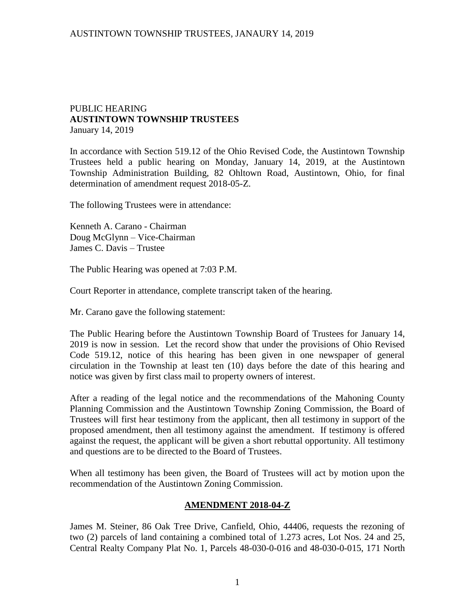### PUBLIC HEARING **AUSTINTOWN TOWNSHIP TRUSTEES** January 14, 2019

In accordance with Section 519.12 of the Ohio Revised Code, the Austintown Township Trustees held a public hearing on Monday, January 14, 2019, at the Austintown Township Administration Building, 82 Ohltown Road, Austintown, Ohio, for final determination of amendment request 2018-05-Z.

The following Trustees were in attendance:

Kenneth A. Carano - Chairman Doug McGlynn – Vice-Chairman James C. Davis – Trustee

The Public Hearing was opened at 7:03 P.M.

Court Reporter in attendance, complete transcript taken of the hearing.

Mr. Carano gave the following statement:

The Public Hearing before the Austintown Township Board of Trustees for January 14, 2019 is now in session. Let the record show that under the provisions of Ohio Revised Code 519.12, notice of this hearing has been given in one newspaper of general circulation in the Township at least ten (10) days before the date of this hearing and notice was given by first class mail to property owners of interest.

After a reading of the legal notice and the recommendations of the Mahoning County Planning Commission and the Austintown Township Zoning Commission, the Board of Trustees will first hear testimony from the applicant, then all testimony in support of the proposed amendment, then all testimony against the amendment. If testimony is offered against the request, the applicant will be given a short rebuttal opportunity. All testimony and questions are to be directed to the Board of Trustees.

When all testimony has been given, the Board of Trustees will act by motion upon the recommendation of the Austintown Zoning Commission.

### **AMENDMENT 2018-04-Z**

James M. Steiner, 86 Oak Tree Drive, Canfield, Ohio, 44406, requests the rezoning of two (2) parcels of land containing a combined total of 1.273 acres, Lot Nos. 24 and 25, Central Realty Company Plat No. 1, Parcels 48-030-0-016 and 48-030-0-015, 171 North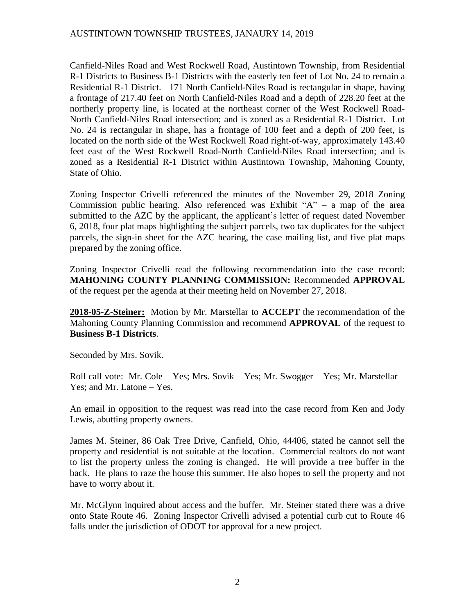## AUSTINTOWN TOWNSHIP TRUSTEES, JANAURY 14, 2019

Canfield-Niles Road and West Rockwell Road, Austintown Township, from Residential R-1 Districts to Business B-1 Districts with the easterly ten feet of Lot No. 24 to remain a Residential R-1 District. 171 North Canfield-Niles Road is rectangular in shape, having a frontage of 217.40 feet on North Canfield-Niles Road and a depth of 228.20 feet at the northerly property line, is located at the northeast corner of the West Rockwell Road-North Canfield-Niles Road intersection; and is zoned as a Residential R-1 District. Lot No. 24 is rectangular in shape, has a frontage of 100 feet and a depth of 200 feet, is located on the north side of the West Rockwell Road right-of-way, approximately 143.40 feet east of the West Rockwell Road-North Canfield-Niles Road intersection; and is zoned as a Residential R-1 District within Austintown Township, Mahoning County, State of Ohio.

Zoning Inspector Crivelli referenced the minutes of the November 29, 2018 Zoning Commission public hearing. Also referenced was Exhibit  $A'' - a$  map of the area submitted to the AZC by the applicant, the applicant's letter of request dated November 6, 2018, four plat maps highlighting the subject parcels, two tax duplicates for the subject parcels, the sign-in sheet for the AZC hearing, the case mailing list, and five plat maps prepared by the zoning office.

Zoning Inspector Crivelli read the following recommendation into the case record: **MAHONING COUNTY PLANNING COMMISSION:** Recommended **APPROVAL** of the request per the agenda at their meeting held on November 27, 2018.

**2018-05-Z-Steiner:** Motion by Mr. Marstellar to **ACCEPT** the recommendation of the Mahoning County Planning Commission and recommend **APPROVAL** of the request to **Business B-1 Districts**.

Seconded by Mrs. Sovik.

Roll call vote: Mr. Cole – Yes; Mrs. Sovik – Yes; Mr. Swogger – Yes; Mr. Marstellar – Yes; and Mr. Latone – Yes.

An email in opposition to the request was read into the case record from Ken and Jody Lewis, abutting property owners.

James M. Steiner, 86 Oak Tree Drive, Canfield, Ohio, 44406, stated he cannot sell the property and residential is not suitable at the location. Commercial realtors do not want to list the property unless the zoning is changed. He will provide a tree buffer in the back. He plans to raze the house this summer. He also hopes to sell the property and not have to worry about it.

Mr. McGlynn inquired about access and the buffer. Mr. Steiner stated there was a drive onto State Route 46. Zoning Inspector Crivelli advised a potential curb cut to Route 46 falls under the jurisdiction of ODOT for approval for a new project.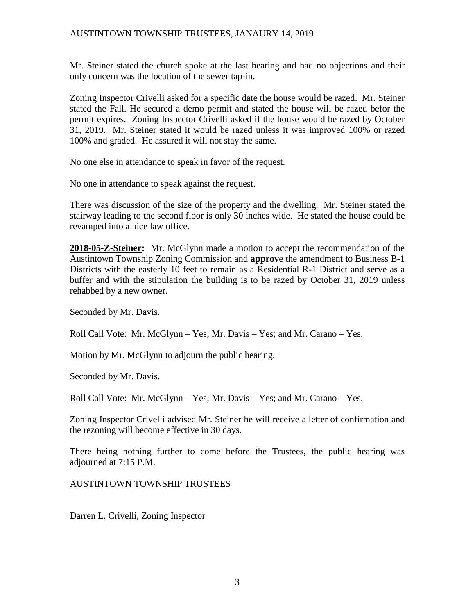## AUSTINTOWN TOWNSHIP TRUSTEES, JANAURY 14, 2019

Mr. Steiner stated the church spoke at the last hearing and had no objections and their only concern was the location of the sewer tap-in.

Zoning Inspector Crivelli asked for a specific date the house would be razed. Mr. Steiner stated the Fall. He secured a demo permit and stated the house will be razed befor the permit expires. Zoning Inspector Crivelli asked if the house would be razed by October 31, 2019. Mr. Steiner stated it would be razed unless it was improved 100% or razed 100% and graded. He assured it will not stay the same.

No one else in attendance to speak in favor of the request.

No one in attendance to speak against the request.

There was discussion of the size of the property and the dwelling. Mr. Steiner stated the stairway leading to the second floor is only 30 inches wide. He stated the house could be revamped into a nice law office.

**2018-05-Z-Steiner:** Mr. McGlynn made a motion to accept the recommendation of the Austintown Township Zoning Commission and **approv**e the amendment to Business B-1 Districts with the easterly 10 feet to remain as a Residential R-1 District and serve as a buffer and with the stipulation the building is to be razed by October 31, 2019 unless rehabbed by a new owner.

Seconded by Mr. Davis.

Roll Call Vote: Mr. McGlynn – Yes; Mr. Davis – Yes; and Mr. Carano – Yes.

Motion by Mr. McGlynn to adjourn the public hearing.

Seconded by Mr. Davis.

Roll Call Vote: Mr. McGlynn – Yes; Mr. Davis – Yes; and Mr. Carano – Yes.

Zoning Inspector Crivelli advised Mr. Steiner he will receive a letter of confirmation and the rezoning will become effective in 30 days.

There being nothing further to come before the Trustees, the public hearing was adjourned at 7:15 P.M.

AUSTINTOWN TOWNSHIP TRUSTEES

Darren L. Crivelli, Zoning Inspector